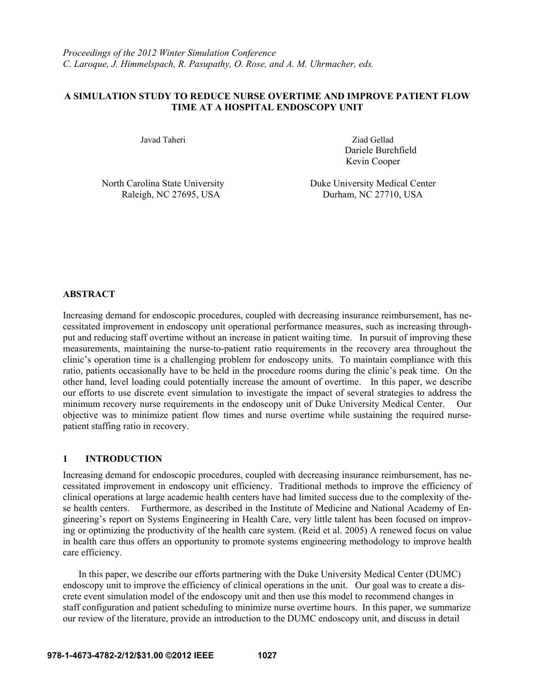### **A SIMULATION STUDY TO REDUCE NURSE OVERTIME AND IMPROVE PATIENT FLOW TIME AT A HOSPITAL ENDOSCOPY UNIT**

Javad Taheri Ziad Gellad Dariele Burchfield Kevin Cooper

North Carolina State University Raleigh, NC 27695, USA

Duke University Medical Center Durham, NC 27710, USA

#### **ABSTRACT**

Increasing demand for endoscopic procedures, coupled with decreasing insurance reimbursement, has necessitated improvement in endoscopy unit operational performance measures, such as increasing throughput and reducing staff overtime without an increase in patient waiting time. In pursuit of improving these measurements, maintaining the nurse-to-patient ratio requirements in the recovery area throughout the clinic's operation time is a challenging problem for endoscopy units. To maintain compliance with this ratio, patients occasionally have to be held in the procedure rooms during the clinic's peak time. On the other hand, level loading could potentially increase the amount of overtime. In this paper, we describe our efforts to use discrete event simulation to investigate the impact of several strategies to address the minimum recovery nurse requirements in the endoscopy unit of Duke University Medical Center. Our objective was to minimize patient flow times and nurse overtime while sustaining the required nursepatient staffing ratio in recovery.

### **1 INTRODUCTION**

Increasing demand for endoscopic procedures, coupled with decreasing insurance reimbursement, has necessitated improvement in endoscopy unit efficiency.Traditional methods to improve the efficiency of clinical operations at large academic health centers have had limited success due to the complexity of these health centers. Furthermore, as described in the Institute of Medicine and National Academy of Engineering's report on Systems Engineering in Health Care, very little talent has been focused on improving or optimizing the productivity of the health care system. (Reid et al. 2005) A renewed focus on value in health care thus offers an opportunity to promote systems engineering methodology to improve health care efficiency.

In this paper, we describe our efforts partnering with the Duke University Medical Center (DUMC) endoscopy unit to improve the efficiency of clinical operations in the unit. Our goal was to create a discrete event simulation model of the endoscopy unit and then use this model to recommend changes in staff configuration and patient scheduling to minimize nurse overtime hours. In this paper, we summarize our review of the literature, provide an introduction to the DUMC endoscopy unit, and discuss in detail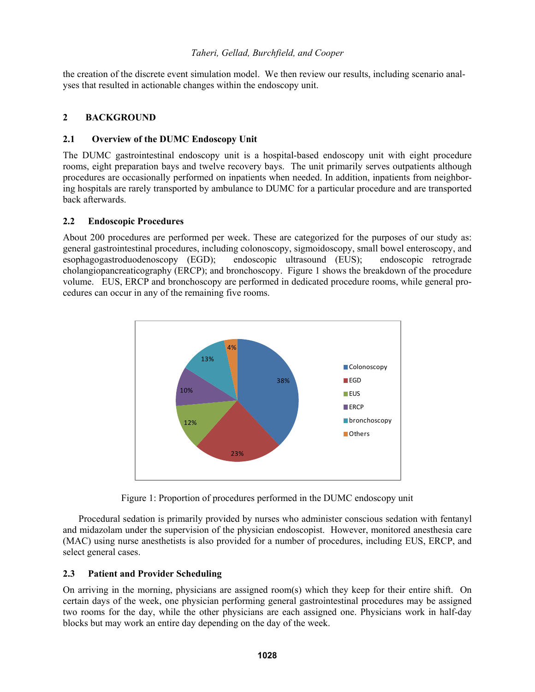the creation of the discrete event simulation model. We then review our results, including scenario analyses that resulted in actionable changes within the endoscopy unit.

# **2 BACKGROUND**

## **2.1 Overview of the DUMC Endoscopy Unit**

The DUMC gastrointestinal endoscopy unit is a hospital-based endoscopy unit with eight procedure rooms, eight preparation bays and twelve recovery bays. The unit primarily serves outpatients although procedures are occasionally performed on inpatients when needed. In addition, inpatients from neighboring hospitals are rarely transported by ambulance to DUMC for a particular procedure and are transported back afterwards.

## **2.2 Endoscopic Procedures**

About 200 procedures are performed per week. These are categorized for the purposes of our study as: general gastrointestinal procedures, including colonoscopy, sigmoidoscopy, small bowel enteroscopy, and esophagogastroduodenoscopy (EGD); endoscopic ultrasound (EUS); endoscopic retrograde cholangiopancreaticography (ERCP); and bronchoscopy. Figure 1 shows the breakdown of the procedure volume. EUS, ERCP and bronchoscopy are performed in dedicated procedure rooms, while general procedures can occur in any of the remaining five rooms.



Figure 1: Proportion of procedures performed in the DUMC endoscopy unit

Procedural sedation is primarily provided by nurses who administer conscious sedation with fentanyl and midazolam under the supervision of the physician endoscopist. However, monitored anesthesia care (MAC) using nurse anesthetists is also provided for a number of procedures, including EUS, ERCP, and select general cases.

### **2.3 Patient and Provider Scheduling**

On arriving in the morning, physicians are assigned room(s) which they keep for their entire shift. On certain days of the week, one physician performing general gastrointestinal procedures may be assigned two rooms for the day, while the other physicians are each assigned one. Physicians work in half-day blocks but may work an entire day depending on the day of the week.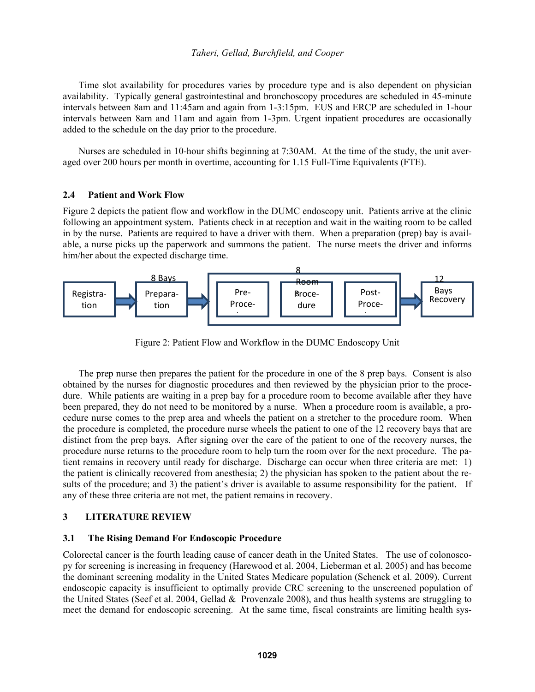Time slot availability for procedures varies by procedure type and is also dependent on physician availability. Typically general gastrointestinal and bronchoscopy procedures are scheduled in 45-minute intervals between 8am and 11:45am and again from 1-3:15pm. EUS and ERCP are scheduled in 1-hour intervals between 8am and 11am and again from 1-3pm. Urgent inpatient procedures are occasionally added to the schedule on the day prior to the procedure.

Nurses are scheduled in 10-hour shifts beginning at 7:30AM. At the time of the study, the unit averaged over 200 hours per month in overtime, accounting for 1.15 Full-Time Equivalents (FTE).

#### **2.4 Patient and Work Flow**

Figure 2 depicts the patient flow and workflow in the DUMC endoscopy unit. Patients arrive at the clinic following an appointment system. Patients check in at reception and wait in the waiting room to be called in by the nurse. Patients are required to have a driver with them. When a preparation (prep) bay is available, a nurse picks up the paperwork and summons the patient. The nurse meets the driver and informs him/her about the expected discharge time.



Figure 2: Patient Flow and Workflow in the DUMC Endoscopy Unit

The prep nurse then prepares the patient for the procedure in one of the 8 prep bays. Consent is also obtained by the nurses for diagnostic procedures and then reviewed by the physician prior to the procedure. While patients are waiting in a prep bay for a procedure room to become available after they have been prepared, they do not need to be monitored by a nurse. When a procedure room is available, a procedure nurse comes to the prep area and wheels the patient on a stretcher to the procedure room. When the procedure is completed, the procedure nurse wheels the patient to one of the 12 recovery bays that are distinct from the prep bays. After signing over the care of the patient to one of the recovery nurses, the procedure nurse returns to the procedure room to help turn the room over for the next procedure. The patient remains in recovery until ready for discharge. Discharge can occur when three criteria are met: 1) the patient is clinically recovered from anesthesia; 2) the physician has spoken to the patient about the results of the procedure; and 3) the patient's driver is available to assume responsibility for the patient. If any of these three criteria are not met, the patient remains in recovery.

### **3 LITERATURE REVIEW**

### **3.1 The Rising Demand For Endoscopic Procedure**

Colorectal cancer is the fourth leading cause of cancer death in the United States. The use of colonoscopy for screening is increasing in frequency (Harewood et al. 2004, Lieberman et al. 2005) and has become the dominant screening modality in the United States Medicare population (Schenck et al. 2009). Current endoscopic capacity is insufficient to optimally provide CRC screening to the unscreened population of the United States (Seef et al. 2004, Gellad & Provenzale 2008), and thus health systems are struggling to meet the demand for endoscopic screening. At the same time, fiscal constraints are limiting health sys-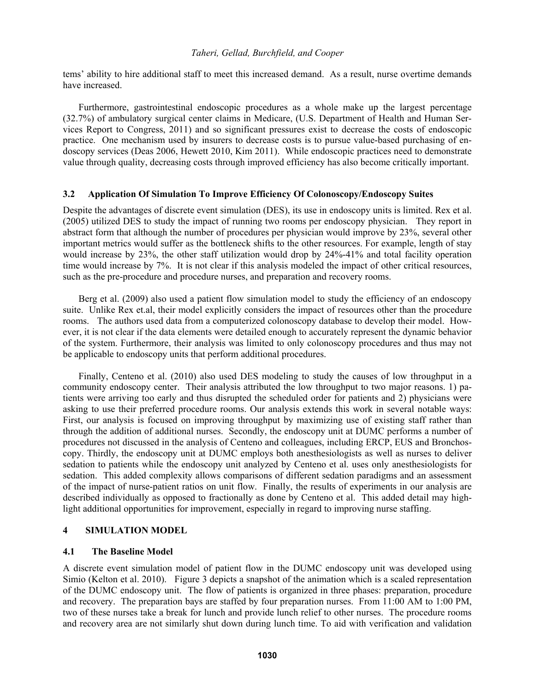tems' ability to hire additional staff to meet this increased demand. As a result, nurse overtime demands have increased.

Furthermore, gastrointestinal endoscopic procedures as a whole make up the largest percentage (32.7%) of ambulatory surgical center claims in Medicare, (U.S. Department of Health and Human Services Report to Congress, 2011) and so significant pressures exist to decrease the costs of endoscopic practice. One mechanism used by insurers to decrease costs is to pursue value-based purchasing of endoscopy services (Deas 2006, Hewett 2010, Kim 2011). While endoscopic practices need to demonstrate value through quality, decreasing costs through improved efficiency has also become critically important.

#### **3.2 Application Of Simulation To Improve Efficiency Of Colonoscopy/Endoscopy Suites**

Despite the advantages of discrete event simulation (DES), its use in endoscopy units is limited. Rex et al. (2005) utilized DES to study the impact of running two rooms per endoscopy physician. They report in abstract form that although the number of procedures per physician would improve by 23%, several other important metrics would suffer as the bottleneck shifts to the other resources. For example, length of stay would increase by 23%, the other staff utilization would drop by 24%-41% and total facility operation time would increase by 7%. It is not clear if this analysis modeled the impact of other critical resources, such as the pre-procedure and procedure nurses, and preparation and recovery rooms.

Berg et al. (2009) also used a patient flow simulation model to study the efficiency of an endoscopy suite. Unlike Rex et.al, their model explicitly considers the impact of resources other than the procedure rooms. The authors used data from a computerized colonoscopy database to develop their model. However, it is not clear if the data elements were detailed enough to accurately represent the dynamic behavior of the system. Furthermore, their analysis was limited to only colonoscopy procedures and thus may not be applicable to endoscopy units that perform additional procedures.

Finally, Centeno et al. (2010) also used DES modeling to study the causes of low throughput in a community endoscopy center. Their analysis attributed the low throughput to two major reasons. 1) patients were arriving too early and thus disrupted the scheduled order for patients and 2) physicians were asking to use their preferred procedure rooms. Our analysis extends this work in several notable ways: First, our analysis is focused on improving throughput by maximizing use of existing staff rather than through the addition of additional nurses. Secondly, the endoscopy unit at DUMC performs a number of procedures not discussed in the analysis of Centeno and colleagues, including ERCP, EUS and Bronchoscopy. Thirdly, the endoscopy unit at DUMC employs both anesthesiologists as well as nurses to deliver sedation to patients while the endoscopy unit analyzed by Centeno et al. uses only anesthesiologists for sedation. This added complexity allows comparisons of different sedation paradigms and an assessment of the impact of nurse-patient ratios on unit flow. Finally, the results of experiments in our analysis are described individually as opposed to fractionally as done by Centeno et al. This added detail may highlight additional opportunities for improvement, especially in regard to improving nurse staffing.

### **4 SIMULATION MODEL**

### **4.1 The Baseline Model**

A discrete event simulation model of patient flow in the DUMC endoscopy unit was developed using Simio (Kelton et al. 2010). Figure 3 depicts a snapshot of the animation which is a scaled representation of the DUMC endoscopy unit. The flow of patients is organized in three phases: preparation, procedure and recovery. The preparation bays are staffed by four preparation nurses. From 11:00 AM to 1:00 PM, two of these nurses take a break for lunch and provide lunch relief to other nurses. The procedure rooms and recovery area are not similarly shut down during lunch time. To aid with verification and validation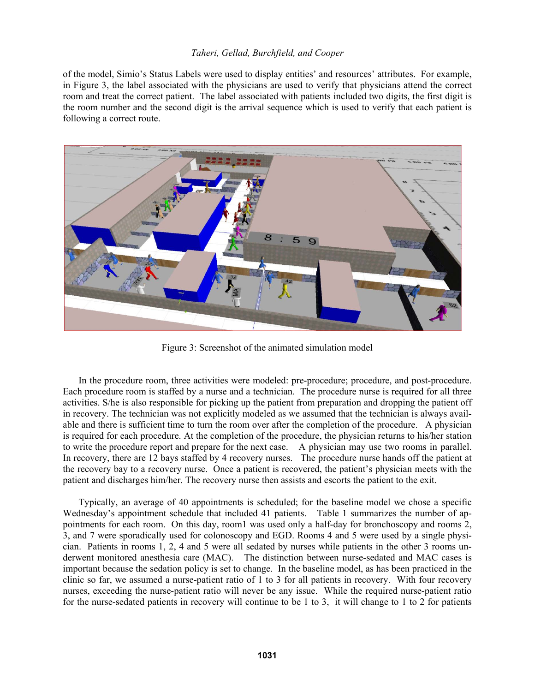of the model, Simio's Status Labels were used to display entities' and resources' attributes. For example, in Figure 3, the label associated with the physicians are used to verify that physicians attend the correct room and treat the correct patient. The label associated with patients included two digits, the first digit is the room number and the second digit is the arrival sequence which is used to verify that each patient is following a correct route.



Figure 3: Screenshot of the animated simulation model

In the procedure room, three activities were modeled: pre-procedure; procedure, and post-procedure. Each procedure room is staffed by a nurse and a technician. The procedure nurse is required for all three activities. S/he is also responsible for picking up the patient from preparation and dropping the patient off in recovery. The technician was not explicitly modeled as we assumed that the technician is always available and there is sufficient time to turn the room over after the completion of the procedure. A physician is required for each procedure. At the completion of the procedure, the physician returns to his/her station to write the procedure report and prepare for the next case. A physician may use two rooms in parallel. In recovery, there are 12 bays staffed by 4 recovery nurses. The procedure nurse hands off the patient at the recovery bay to a recovery nurse. Once a patient is recovered, the patient's physician meets with the patient and discharges him/her. The recovery nurse then assists and escorts the patient to the exit.

Typically, an average of 40 appointments is scheduled; for the baseline model we chose a specific Wednesday's appointment schedule that included 41 patients. Table 1 summarizes the number of appointments for each room. On this day, room1 was used only a half-day for bronchoscopy and rooms 2, 3, and 7 were sporadically used for colonoscopy and EGD. Rooms 4 and 5 were used by a single physician. Patients in rooms 1, 2, 4 and 5 were all sedated by nurses while patients in the other 3 rooms underwent monitored anesthesia care (MAC). The distinction between nurse-sedated and MAC cases is important because the sedation policy is set to change. In the baseline model, as has been practiced in the clinic so far, we assumed a nurse-patient ratio of 1 to 3 for all patients in recovery. With four recovery nurses, exceeding the nurse-patient ratio will never be any issue. While the required nurse-patient ratio for the nurse-sedated patients in recovery will continue to be 1 to 3, it will change to 1 to 2 for patients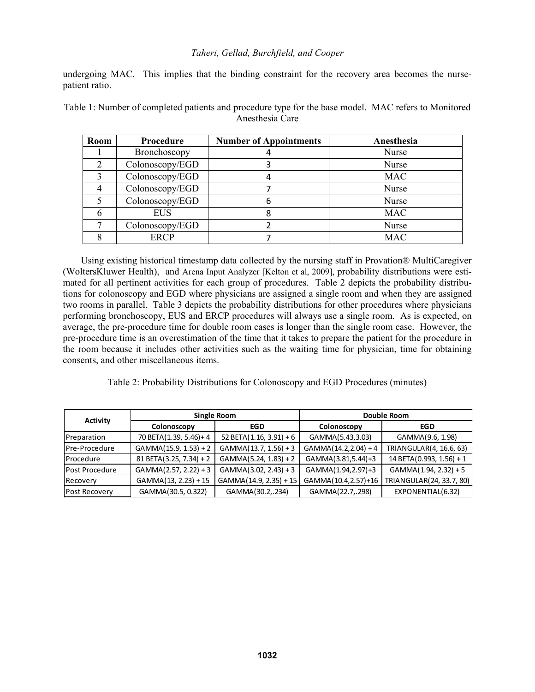undergoing MAC. This implies that the binding constraint for the recovery area becomes the nursepatient ratio.

| Room | Procedure       | <b>Number of Appointments</b> | Anesthesia |
|------|-----------------|-------------------------------|------------|
|      | Bronchoscopy    |                               | Nurse      |
| 2    | Colonoscopy/EGD |                               | Nurse      |
|      | Colonoscopy/EGD |                               | <b>MAC</b> |
| 4    | Colonoscopy/EGD |                               | Nurse      |
|      | Colonoscopy/EGD |                               | Nurse      |
|      | <b>EUS</b>      |                               | <b>MAC</b> |
|      | Colonoscopy/EGD |                               | Nurse      |
|      | <b>ERCP</b>     |                               | <b>MAC</b> |

Table 1: Number of completed patients and procedure type for the base model. MAC refers to Monitored Anesthesia Care

Using existing historical timestamp data collected by the nursing staff in Provation® MultiCaregiver (WoltersKluwer Health), and Arena Input Analyzer [Kelton et al, 2009], probability distributions were estimated for all pertinent activities for each group of procedures. Table 2 depicts the probability distributions for colonoscopy and EGD where physicians are assigned a single room and when they are assigned two rooms in parallel. Table 3 depicts the probability distributions for other procedures where physicians performing bronchoscopy, EUS and ERCP procedures will always use a single room. As is expected, on average, the pre-procedure time for double room cases is longer than the single room case. However, the pre-procedure time is an overestimation of the time that it takes to prepare the patient for the procedure in the room because it includes other activities such as the waiting time for physician, time for obtaining consents, and other miscellaneous items.

Table 2: Probability Distributions for Colonoscopy and EGD Procedures (minutes)

| Activity              |                           | <b>Single Room</b>         | Double Room             |                          |  |  |
|-----------------------|---------------------------|----------------------------|-------------------------|--------------------------|--|--|
|                       | Colonoscopy               | <b>EGD</b>                 | Colonoscopy             | <b>EGD</b>               |  |  |
| Preparation           | 70 BETA(1.39, 5.46)+4     | 52 BETA $(1.16, 3.91) + 6$ | GAMMA(5.43,3.03)        | GAMMA(9.6, 1.98)         |  |  |
| <b>Pre-Procedure</b>  | $GAMMA(15.9, 1.53) + 2$   | GAMMA(13.7, 1.56) + 3      | $GAMMA(14.2, 2.04) + 4$ | TRIANGULAR(4, 16.6, 63)  |  |  |
| Procedure             | $81$ BETA(3.25, 7.34) + 2 | $GAMMA(5.24, 1.83) + 2$    | GAMMA(3.81,5.44)+3      | 14 BETA(0.993, 1.56) + 1 |  |  |
| <b>Post Procedure</b> | $GAMMA(2.57, 2.22) + 3$   | $GAMMA(3.02, 2.43) + 3$    | GAMMA(1.94,2.97)+3      | $GAMMA(1.94, 2.32) + 5$  |  |  |
| Recovery              | GAMMA(13, 2.23) + 15      | GAMMA(14.9, 2.35) + 15     | GAMMA(10.4,2.57)+16     | TRIANGULAR(24, 33.7, 80) |  |  |
| <b>Post Recovery</b>  | GAMMA(30.5, 0.322)        | GAMMA(30.2,.234)           | GAMMA(22.7,.298)        | EXPONENTIAL(6.32)        |  |  |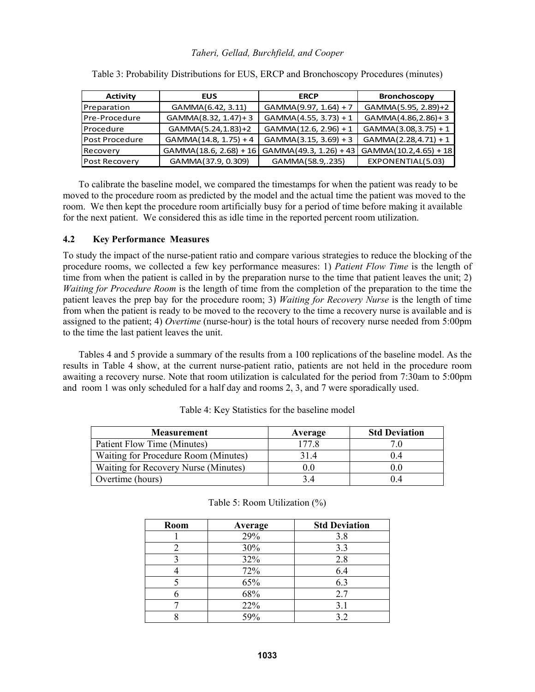| <b>Activity</b>       | <b>EUS</b>               | <b>ERCP</b>              | <b>Bronchoscopy</b>     |  |
|-----------------------|--------------------------|--------------------------|-------------------------|--|
| Preparation           | GAMMA(6.42, 3.11)        | $GAMMA(9.97, 1.64) + 7$  | GAMMA(5.95, 2.89)+2     |  |
| Pre-Procedure         | $GAMMA(8.32, 1.47) + 3$  | $GAMMA(4.55, 3.73) + 1$  | GAMMA(4.86,2.86)+3      |  |
| Procedure             | GAMMA(5.24, 1.83)+2      | $GAMMA(12.6, 2.96) + 1$  | $GAMMA(3.08, 3.75) + 1$ |  |
| <b>Post Procedure</b> | $GAMMA(14.8, 1.75) + 4$  | $GAMMA(3.15, 3.69) + 3$  | $GAMMA(2.28, 4.71) + 1$ |  |
| Recovery              | $GAMMA(18.6, 2.68) + 16$ | $GAMMA(49.3, 1.26) + 43$ | GAMMA(10.2,4.65) + 18   |  |
| <b>Post Recovery</b>  | GAMMA(37.9, 0.309)       | GAMMA(58.9, 235)         | EXPONENTIAL(5.03)       |  |

Table 3: Probability Distributions for EUS, ERCP and Bronchoscopy Procedures (minutes)

To calibrate the baseline model, we compared the timestamps for when the patient was ready to be moved to the procedure room as predicted by the model and the actual time the patient was moved to the room. We then kept the procedure room artificially busy for a period of time before making it available for the next patient. We considered this as idle time in the reported percent room utilization.

#### **4.2 Key Performance Measures**

To study the impact of the nurse-patient ratio and compare various strategies to reduce the blocking of the procedure rooms, we collected a few key performance measures: 1) *Patient Flow Time* is the length of time from when the patient is called in by the preparation nurse to the time that patient leaves the unit; 2) *Waiting for Procedure Room* is the length of time from the completion of the preparation to the time the patient leaves the prep bay for the procedure room; 3) *Waiting for Recovery Nurse* is the length of time from when the patient is ready to be moved to the recovery to the time a recovery nurse is available and is assigned to the patient; 4) *Overtime* (nurse-hour) is the total hours of recovery nurse needed from 5:00pm to the time the last patient leaves the unit.

Tables 4 and 5 provide a summary of the results from a 100 replications of the baseline model. As the results in Table 4 show, at the current nurse-patient ratio, patients are not held in the procedure room awaiting a recovery nurse. Note that room utilization is calculated for the period from 7:30am to 5:00pm and room 1 was only scheduled for a half day and rooms 2, 3, and 7 were sporadically used.

| <b>Measurement</b>                   | Average | <b>Std Deviation</b> |
|--------------------------------------|---------|----------------------|
| Patient Flow Time (Minutes)          | ' 77 8  |                      |
| Waiting for Procedure Room (Minutes) | 314     | 04                   |
| Waiting for Recovery Nurse (Minutes) | U.U     |                      |
| Overtime (hours)                     |         | 04                   |

| <b>Room</b> | Average | <b>Std Deviation</b> |
|-------------|---------|----------------------|
|             | 29%     | 3.8                  |
|             | 30%     | 3.3                  |
|             | 32%     | 2.8                  |
|             | 72%     | 6.4                  |
|             | 65%     | 6.3                  |
|             | 68%     | 2.7                  |
|             | 22%     | 3.1                  |
|             | 59%     | 32                   |

### Table 5: Room Utilization (%)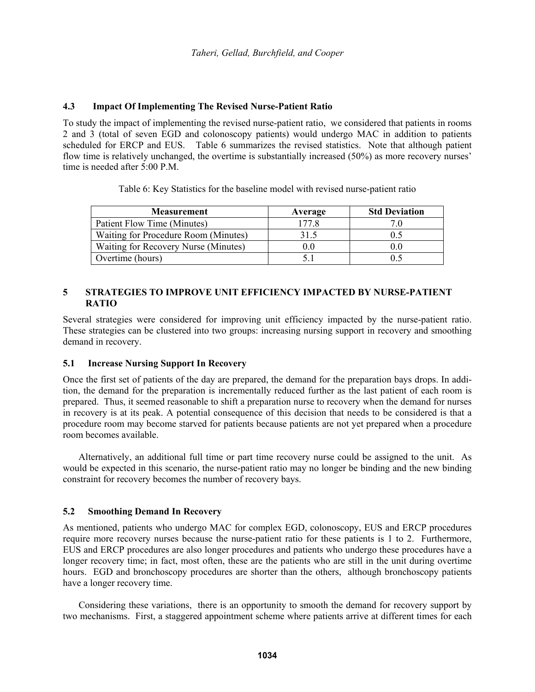## **4.3 Impact Of Implementing The Revised Nurse-Patient Ratio**

To study the impact of implementing the revised nurse-patient ratio, we considered that patients in rooms 2 and 3 (total of seven EGD and colonoscopy patients) would undergo MAC in addition to patients scheduled for ERCP and EUS. Table 6 summarizes the revised statistics. Note that although patient flow time is relatively unchanged, the overtime is substantially increased (50%) as more recovery nurses' time is needed after  $5:00 \text{ P M}$ .

Table 6: Key Statistics for the baseline model with revised nurse-patient ratio

| <b>Measurement</b>                   | Average | <b>Std Deviation</b> |
|--------------------------------------|---------|----------------------|
| Patient Flow Time (Minutes)          | 177 8   |                      |
| Waiting for Procedure Room (Minutes) | 31.5    |                      |
| Waiting for Recovery Nurse (Minutes) |         |                      |
| Overtime (hours)                     |         |                      |

## **5 STRATEGIES TO IMPROVE UNIT EFFICIENCY IMPACTED BY NURSE-PATIENT RATIO**

Several strategies were considered for improving unit efficiency impacted by the nurse-patient ratio. These strategies can be clustered into two groups: increasing nursing support in recovery and smoothing demand in recovery.

### **5.1 Increase Nursing Support In Recovery**

Once the first set of patients of the day are prepared, the demand for the preparation bays drops. In addition, the demand for the preparation is incrementally reduced further as the last patient of each room is prepared. Thus, it seemed reasonable to shift a preparation nurse to recovery when the demand for nurses in recovery is at its peak. A potential consequence of this decision that needs to be considered is that a procedure room may become starved for patients because patients are not yet prepared when a procedure room becomes available.

Alternatively, an additional full time or part time recovery nurse could be assigned to the unit. As would be expected in this scenario, the nurse-patient ratio may no longer be binding and the new binding constraint for recovery becomes the number of recovery bays.

### **5.2 Smoothing Demand In Recovery**

As mentioned, patients who undergo MAC for complex EGD, colonoscopy, EUS and ERCP procedures require more recovery nurses because the nurse-patient ratio for these patients is 1 to 2. Furthermore, EUS and ERCP procedures are also longer procedures and patients who undergo these procedures have a longer recovery time; in fact, most often, these are the patients who are still in the unit during overtime hours. EGD and bronchoscopy procedures are shorter than the others, although bronchoscopy patients have a longer recovery time.

Considering these variations, there is an opportunity to smooth the demand for recovery support by two mechanisms. First, a staggered appointment scheme where patients arrive at different times for each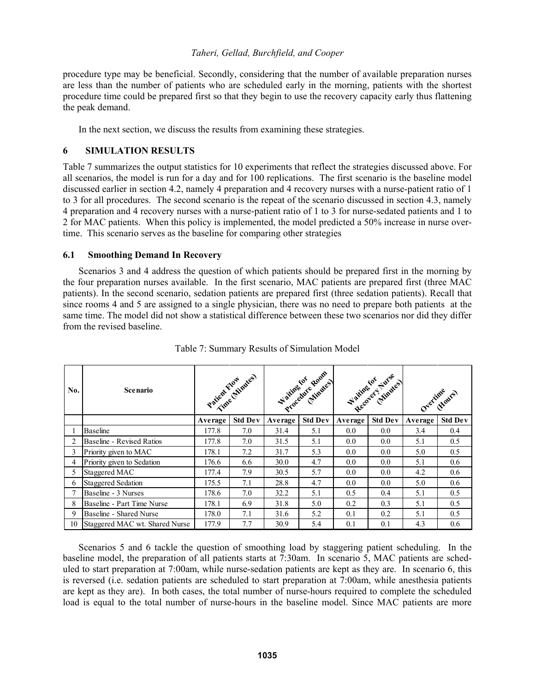procedure type may be beneficial. Secondly, considering that the number of available preparation nurses are less than the number of patients who are scheduled early in the morning, patients with the shortest procedure time could be prepared first so that they begin to use the recovery capacity early thus flattening the peak demand.

In the next section, we discuss the results from examining these strategies.

### **6 SIMULATION RESULTS**

Table 7 summarizes the output statistics for 10 experiments that reflect the strategies discussed above. For all scenarios, the model is run for a day and for 100 replications. The first scenario is the baseline model discussed earlier in section 4.2, namely 4 preparation and 4 recovery nurses with a nurse-patient ratio of 1 to 3 for all procedures. The second scenario is the repeat of the scenario discussed in section 4.3, namely 4 preparation and 4 recovery nurses with a nurse-patient ratio of 1 to 3 for nurse-sedated patients and 1 to 2 for MAC patients. When this policy is implemented, the model predicted a 50% increase in nurse overtime. This scenario serves as the baseline for comparing other strategies

#### **6.1 Smoothing Demand In Recovery**

Scenarios 3 and 4 address the question of which patients should be prepared first in the morning by the four preparation nurses available. In the first scenario, MAC patients are prepared first (three MAC patients). In the second scenario, sedation patients are prepared first (three sedation patients). Recall that since rooms 4 and 5 are assigned to a single physician, there was no need to prepare both patients at the same time. The model did not show a statistical difference between these two scenarios nor did they differ from the revised baseline.

| No. | <b>Scenario</b>                | Patient Floritates) |                | Practice du Editores |                | Records Number |                | Overtime (Hours) |                |
|-----|--------------------------------|---------------------|----------------|----------------------|----------------|----------------|----------------|------------------|----------------|
|     |                                | Average             | <b>Std Dev</b> | Average              | <b>Std Dev</b> | Average        | <b>Std Dev</b> | Average          | <b>Std Dev</b> |
|     | <b>Baseline</b>                | 177.8               | 7.0            | 31.4                 | 5.1            | 0.0            | 0.0            | 3.4              | 0.4            |
| 2   | Baseline - Revised Ratios      | 177.8               | 7.0            | 31.5                 | 5.1            | 0.0            | 0.0            | 5.1              | 0.5            |
| 3   | Priority given to MAC          | 178.1               | 7.2            | 31.7                 | 5.3            | 0.0            | 0.0            | 5.0              | 0.5            |
| 4   | Priority given to Sedation     | 176.6               | 6.6            | 30.0                 | 4.7            | 0.0            | 0.0            | 5.1              | 0.6            |
| 5.  | Staggered MAC                  | 177.4               | 7.9            | 30.5                 | 5.7            | 0.0            | 0.0            | 4.2              | 0.6            |
| 6   | <b>Staggered Sedation</b>      | 175.5               | 7.1            | 28.8                 | 4.7            | 0.0            | 0.0            | 5.0              | 0.6            |
|     | Baseline - 3 Nurses            | 178.6               | 7.0            | 32.2                 | 5.1            | 0.5            | 0.4            | 5.1              | 0.5            |
| 8   | Baseline - Part Time Nurse     | 178.1               | 6.9            | 31.8                 | 5.0            | 0.2            | 0.3            | 5.1              | 0.5            |
| 9   | Baseline - Shared Nurse        | 178.0               | 7.1            | 31.6                 | 5.2            | 0.1            | 0.2            | 5.1              | 0.5            |
| 10  | Staggered MAC wt. Shared Nurse | 177.9               | 7.7            | 30.9                 | 5.4            | 0.1            | 0.1            | 4.3              | 0.6            |

Table 7: Summary Results of Simulation Model

Scenarios 5 and 6 tackle the question of smoothing load by staggering patient scheduling. In the baseline model, the preparation of all patients starts at 7:30am. In scenario 5, MAC patients are scheduled to start preparation at 7:00am, while nurse-sedation patients are kept as they are. In scenario 6, this is reversed (i.e. sedation patients are scheduled to start preparation at 7:00am, while anesthesia patients are kept as they are). In both cases, the total number of nurse-hours required to complete the scheduled load is equal to the total number of nurse-hours in the baseline model. Since MAC patients are more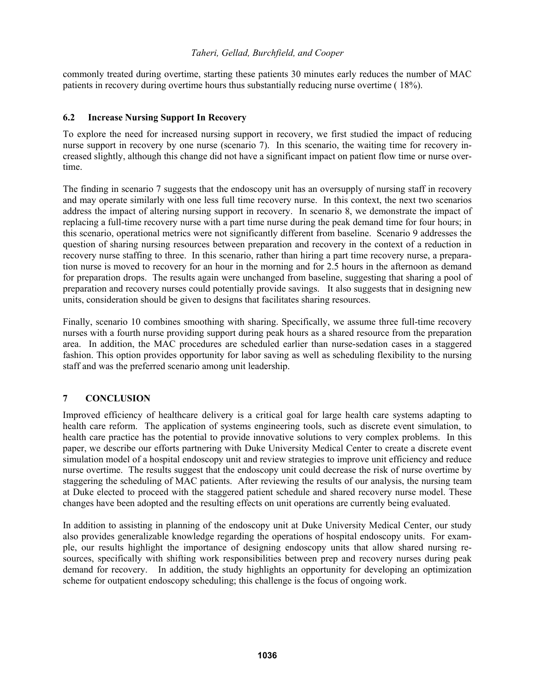commonly treated during overtime, starting these patients 30 minutes early reduces the number of MAC patients in recovery during overtime hours thus substantially reducing nurse overtime ( 18%).

### **6.2 Increase Nursing Support In Recovery**

To explore the need for increased nursing support in recovery, we first studied the impact of reducing nurse support in recovery by one nurse (scenario 7). In this scenario, the waiting time for recovery increased slightly, although this change did not have a significant impact on patient flow time or nurse overtime.

The finding in scenario 7 suggests that the endoscopy unit has an oversupply of nursing staff in recovery and may operate similarly with one less full time recovery nurse. In this context, the next two scenarios address the impact of altering nursing support in recovery. In scenario 8, we demonstrate the impact of replacing a full-time recovery nurse with a part time nurse during the peak demand time for four hours; in this scenario, operational metrics were not significantly different from baseline. Scenario 9 addresses the question of sharing nursing resources between preparation and recovery in the context of a reduction in recovery nurse staffing to three. In this scenario, rather than hiring a part time recovery nurse, a preparation nurse is moved to recovery for an hour in the morning and for 2.5 hours in the afternoon as demand for preparation drops. The results again were unchanged from baseline, suggesting that sharing a pool of preparation and recovery nurses could potentially provide savings. It also suggests that in designing new units, consideration should be given to designs that facilitates sharing resources.

Finally, scenario 10 combines smoothing with sharing. Specifically, we assume three full-time recovery nurses with a fourth nurse providing support during peak hours as a shared resource from the preparation area. In addition, the MAC procedures are scheduled earlier than nurse-sedation cases in a staggered fashion. This option provides opportunity for labor saving as well as scheduling flexibility to the nursing staff and was the preferred scenario among unit leadership.

## **7 CONCLUSION**

Improved efficiency of healthcare delivery is a critical goal for large health care systems adapting to health care reform. The application of systems engineering tools, such as discrete event simulation, to health care practice has the potential to provide innovative solutions to very complex problems. In this paper, we describe our efforts partnering with Duke University Medical Center to create a discrete event simulation model of a hospital endoscopy unit and review strategies to improve unit efficiency and reduce nurse overtime. The results suggest that the endoscopy unit could decrease the risk of nurse overtime by staggering the scheduling of MAC patients. After reviewing the results of our analysis, the nursing team at Duke elected to proceed with the staggered patient schedule and shared recovery nurse model. These changes have been adopted and the resulting effects on unit operations are currently being evaluated.

In addition to assisting in planning of the endoscopy unit at Duke University Medical Center, our study also provides generalizable knowledge regarding the operations of hospital endoscopy units. For example, our results highlight the importance of designing endoscopy units that allow shared nursing resources, specifically with shifting work responsibilities between prep and recovery nurses during peak demand for recovery. In addition, the study highlights an opportunity for developing an optimization scheme for outpatient endoscopy scheduling; this challenge is the focus of ongoing work.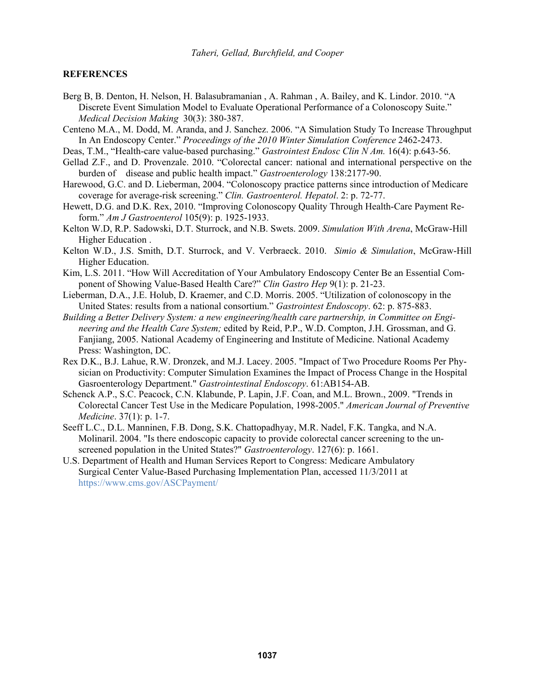#### **REFERENCES**

- Berg B, B. Denton, H. Nelson, H. Balasubramanian , A. Rahman , A. Bailey, and K. Lindor. 2010. "A Discrete Event Simulation Model to Evaluate Operational Performance of a Colonoscopy Suite." *Medical Decision Making* 30(3): 380-387.
- Centeno M.A., M. Dodd, M. Aranda, and J. Sanchez. 2006. "A Simulation Study To Increase Throughput In An Endoscopy Center." *Proceedings of the 2010 Winter Simulation Conference* 2462-2473.
- Deas, T.M., "Health-care value-based purchasing." *Gastrointest Endosc Clin N Am.* 16(4): p.643-56.
- Gellad Z.F., and D. Provenzale. 2010. "Colorectal cancer: national and international perspective on the burden of disease and public health impact." *Gastroenterology* 138:2177-90.
- Harewood, G.C. and D. Lieberman, 2004. "Colonoscopy practice patterns since introduction of Medicare coverage for average-risk screening." *Clin. Gastroenterol. Hepatol*. 2: p. 72-77.
- Hewett, D.G. and D.K. Rex, 2010. "Improving Colonoscopy Quality Through Health-Care Payment Reform." *Am J Gastroenterol* 105(9): p. 1925-1933.
- Kelton W.D, R.P. Sadowski, D.T. Sturrock, and N.B. Swets. 2009. *Simulation With Arena*, McGraw-Hill Higher Education .
- Kelton W.D., J.S. Smith, D.T. Sturrock, and V. Verbraeck. 2010. *Simio & Simulation*, McGraw-Hill Higher Education.
- Kim, L.S. 2011. "How Will Accreditation of Your Ambulatory Endoscopy Center Be an Essential Component of Showing Value-Based Health Care?" *Clin Gastro Hep* 9(1): p. 21-23.
- Lieberman, D.A., J.E. Holub, D. Kraemer, and C.D. Morris. 2005. "Utilization of colonoscopy in the United States: results from a national consortium." *Gastrointest Endoscopy*. 62: p. 875-883.
- *Building a Better Delivery System: a new engineering/health care partnership, in Committee on Engineering and the Health Care System;* edited by Reid, P.P., W.D. Compton, J.H. Grossman, and G. Fanjiang, 2005. National Academy of Engineering and Institute of Medicine. National Academy Press: Washington, DC.
- Rex D.K., B.J. Lahue, R.W. Dronzek, and M.J. Lacey. 2005. "Impact of Two Procedure Rooms Per Physician on Productivity: Computer Simulation Examines the Impact of Process Change in the Hospital Gasroenterology Department." *Gastrointestinal Endoscopy*. 61:AB154-AB.
- Schenck A.P., S.C. Peacock, C.N. Klabunde, P. Lapin, J.F. Coan, and M.L. Brown., 2009. "Trends in Colorectal Cancer Test Use in the Medicare Population, 1998-2005." *American Journal of Preventive Medicine*. 37(1): p. 1-7.
- Seeff L.C., D.L. Manninen, F.B. Dong, S.K. Chattopadhyay, M.R. Nadel, F.K. Tangka, and N.A. Molinaril. 2004. "Is there endoscopic capacity to provide colorectal cancer screening to the unscreened population in the United States?" *Gastroenterology*. 127(6): p. 1661.
- U.S. Department of Health and Human Services Report to Congress: Medicare Ambulatory Surgical Center Value-Based Purchasing Implementation Plan, accessed 11/3/2011 at https://www.cms.gov/ASCPayment/